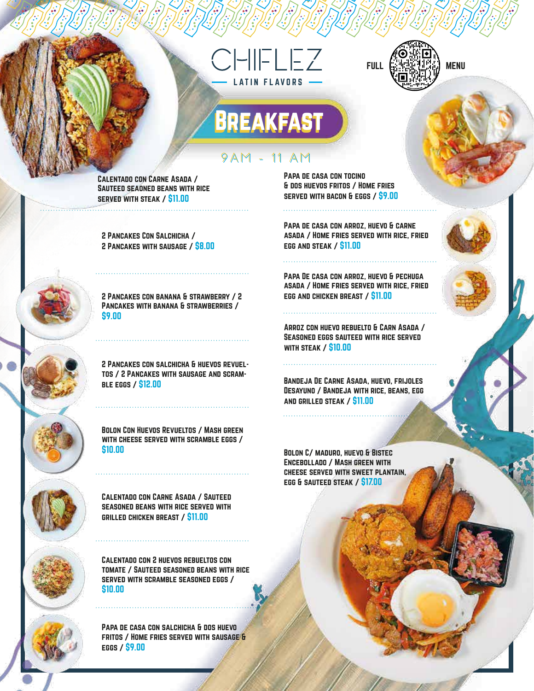## $HIFLEZ$ TIN FLAVORS



## **BREAKFAST** 9AM - 11 AM

Calentado con Carne Asada / Sauteed seaoned beans with rice served with steak / \$11.00

2 Pancakes Con Salchicha / 2 Pancakes with sausage / \$8.00

2 Pancakes con banana & strawberry / 2 Pancakes with banana & strawberries / \$9.00

2 Pancakes con salchicha & huevos revueltos / 2 Pancakes with sausage and scramble eggs / \$12.00

Bolon Con Huevos Revueltos / Mash green with cheese served with scramble eggs / \$10.00

Calentado con Carne Asada / Sauteed seasoned beans with rice served with grilled chicken breast / \$11.00

Calentado con 2 huevos rebueltos con tomate / Sauteed seasoned beans with rice served with scramble seasoned eggs / \$10.00

Papa de casa con salchicha & dos huevo fritos / Home fries served with sausage & eggs / \$9.00

Papa de casa con tocino & dos huevos fritos / Home fries served with bacon & eggs / \$9.00

Papa de casa con arroz, huevo & carne asada / Home fries served with rice, fried egg and steak / \$11.00

Papa De casa con arroz, huevo & pechuga asada / Home fries served with rice, fried egg and chicken breast / \$11.00

Arroz con huevo rebuelto & Carn Asada / Seasoned eggs sauteed with rice served with steak / \$10.00

BANDEJA DE CARNE ASADA, HUEVO, FRIJOLES Desayuno / Bandeja with rice, beans, egg and grilled steak / \$11.00

Bolon C/ maduro, huevo & Bistec Encebollado / Mash green with cheese served with sweet plantain, egg & sauteed steak / \$17.00